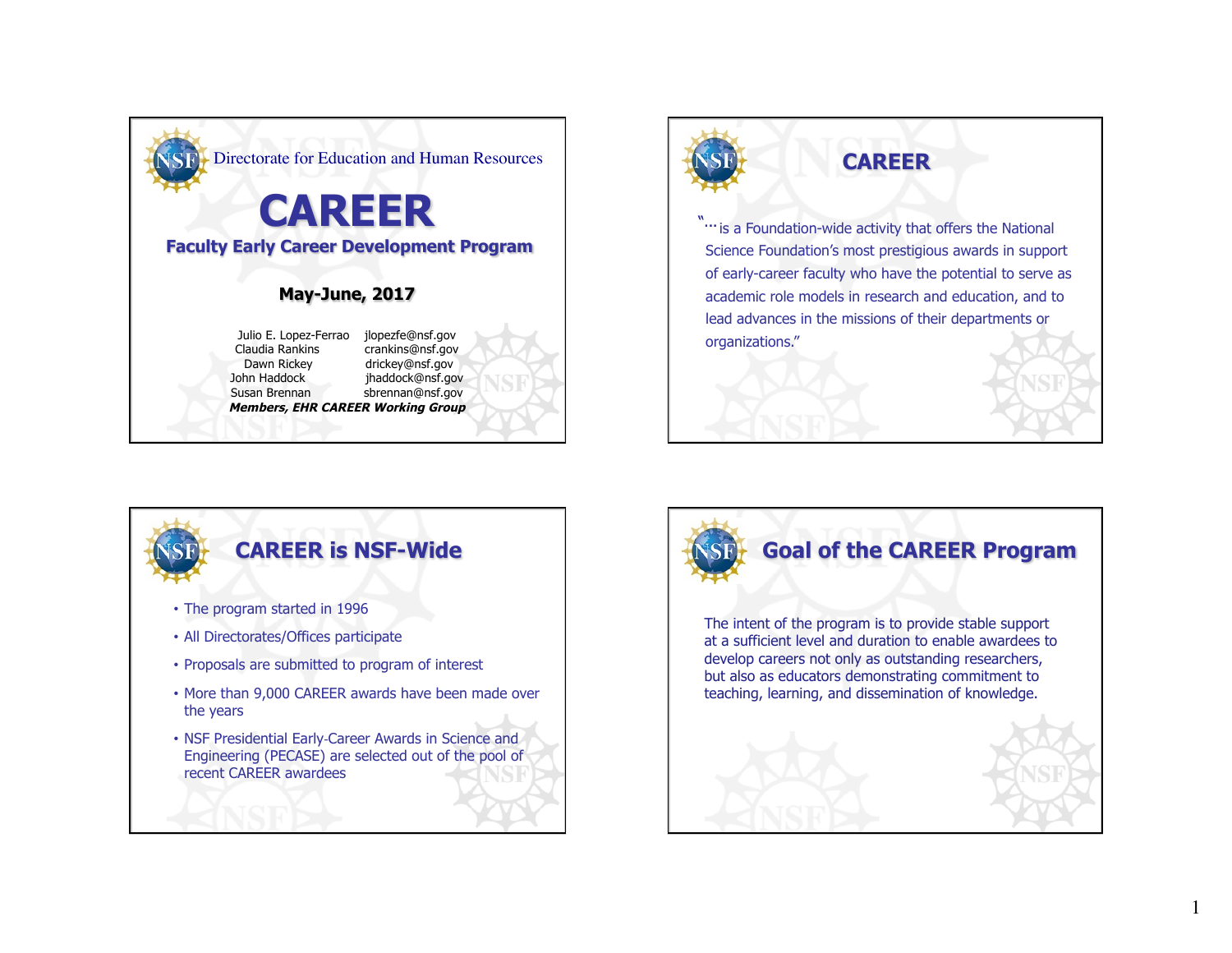



"" is a Foundation-wide activity that offers the National Science Foundation's most prestigious awards in support of early-career faculty who have the potential to serve as academic role models in research and education, and to lead advances in the missions of their departments or organizations."



- More than 9,000 CAREER awards have been made over the years
- NSF Presidential Early-Career Awards in Science and Engineering (PECASE) are selected out of the pool of recent CAREER awardees



1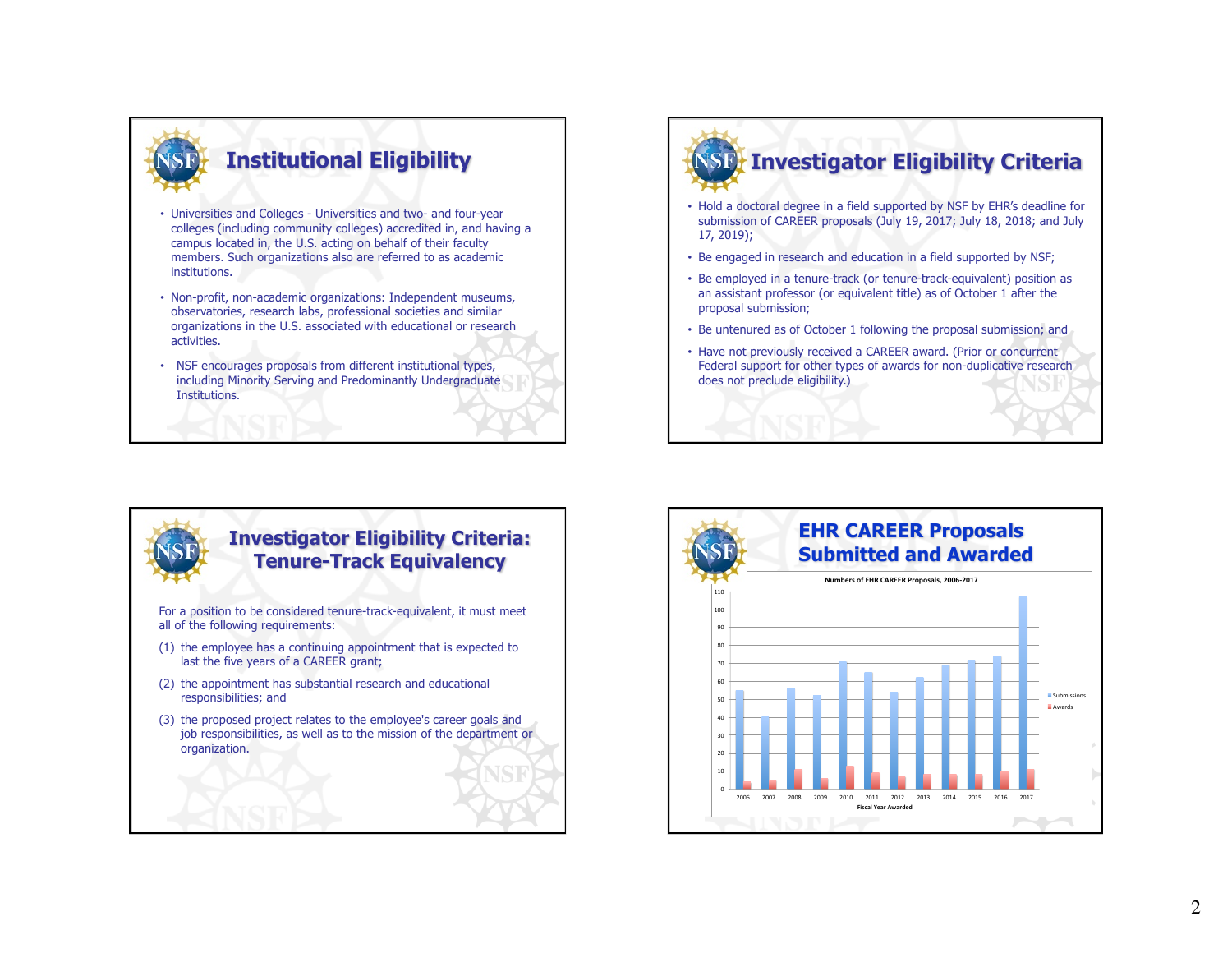

- Universities and Colleges Universities and two- and four-year colleges (including community colleges) accredited in, and having a campus located in, the U.S. acting on behalf of their faculty members. Such organizations also are referred to as academic institutions.
- Non-profit, non-academic organizations: Independent museums, observatories, research labs, professional societies and similar organizations in the U.S. associated with educational or research activities.
- NSF encourages proposals from different institutional types, including Minority Serving and Predominantly Undergraduate Institutions.

# **SD: Investigator Eligibility Criteria**

- Hold a doctoral degree in a field supported by NSF by EHR's deadline for submission of CAREER proposals (July 19, 2017; July 18, 2018; and July 17, 2019);
- Be engaged in research and education in a field supported by NSF;
- Be employed in a tenure-track (or tenure-track-equivalent) position as an assistant professor (or equivalent title) as of October 1 after the proposal submission;
- Be untenured as of October 1 following the proposal submission; and
- Have not previously received a CAREER award. (Prior or concurrent Federal support for other types of awards for non-duplicative research does not preclude eligibility.)



#### **Investigator Eligibility Criteria: Tenure-Track Equivalency**

For a position to be considered tenure-track-equivalent, it must meet all of the following requirements:

- (1) the employee has a continuing appointment that is expected to last the five years of a CAREER grant;
- (2) the appointment has substantial research and educational responsibilities; and
- (3) the proposed project relates to the employee's career goals and job responsibilities, as well as to the mission of the department or organization.

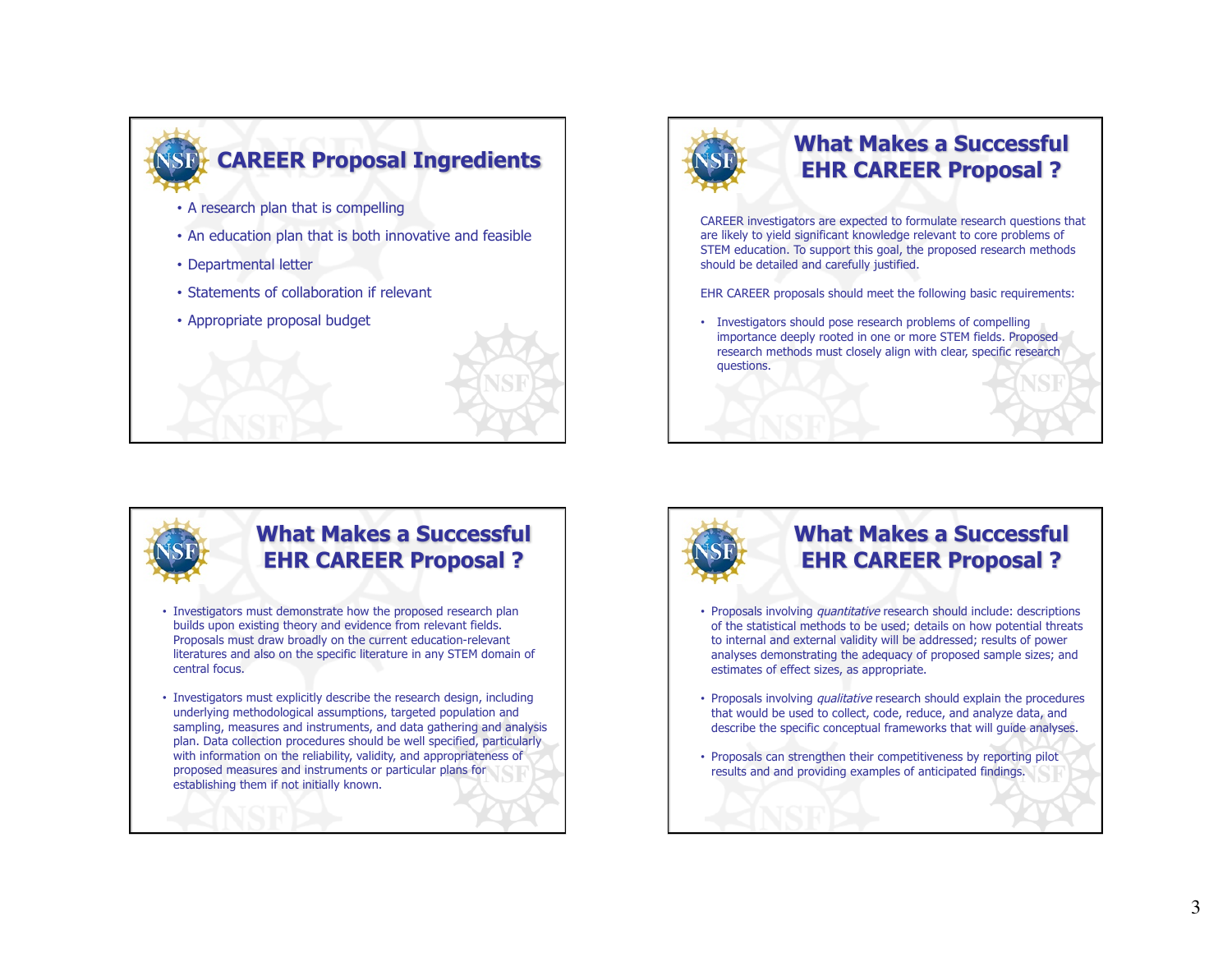



#### **What Makes a Successful EHR CAREER Proposal ?**

CAREER investigators are expected to formulate research questions that are likely to yield significant knowledge relevant to core problems of STEM education. To support this goal, the proposed research methods should be detailed and carefully justified.

EHR CAREER proposals should meet the following basic requirements:

• Investigators should pose research problems of compelling importance deeply rooted in one or more STEM fields. Proposed research methods must closely align with clear, specific research questions.



#### **What Makes a Successful EHR CAREER Proposal ?**

- Investigators must demonstrate how the proposed research plan builds upon existing theory and evidence from relevant fields. Proposals must draw broadly on the current education-relevant literatures and also on the specific literature in any STEM domain of central focus.
- Investigators must explicitly describe the research design, including underlying methodological assumptions, targeted population and sampling, measures and instruments, and data gathering and analysis plan. Data collection procedures should be well specified, particularly with information on the reliability, validity, and appropriateness of proposed measures and instruments or particular plans for establishing them if not initially known.



### **What Makes a Successful EHR CAREER Proposal ?**

- Proposals involving quantitative research should include: descriptions of the statistical methods to be used; details on how potential threats to internal and external validity will be addressed; results of power analyses demonstrating the adequacy of proposed sample sizes; and estimates of effect sizes, as appropriate.
- Proposals involving *qualitative* research should explain the procedures that would be used to collect, code, reduce, and analyze data, and describe the specific conceptual frameworks that will guide analyses.
- Proposals can strengthen their competitiveness by reporting pilot results and and providing examples of anticipated findings.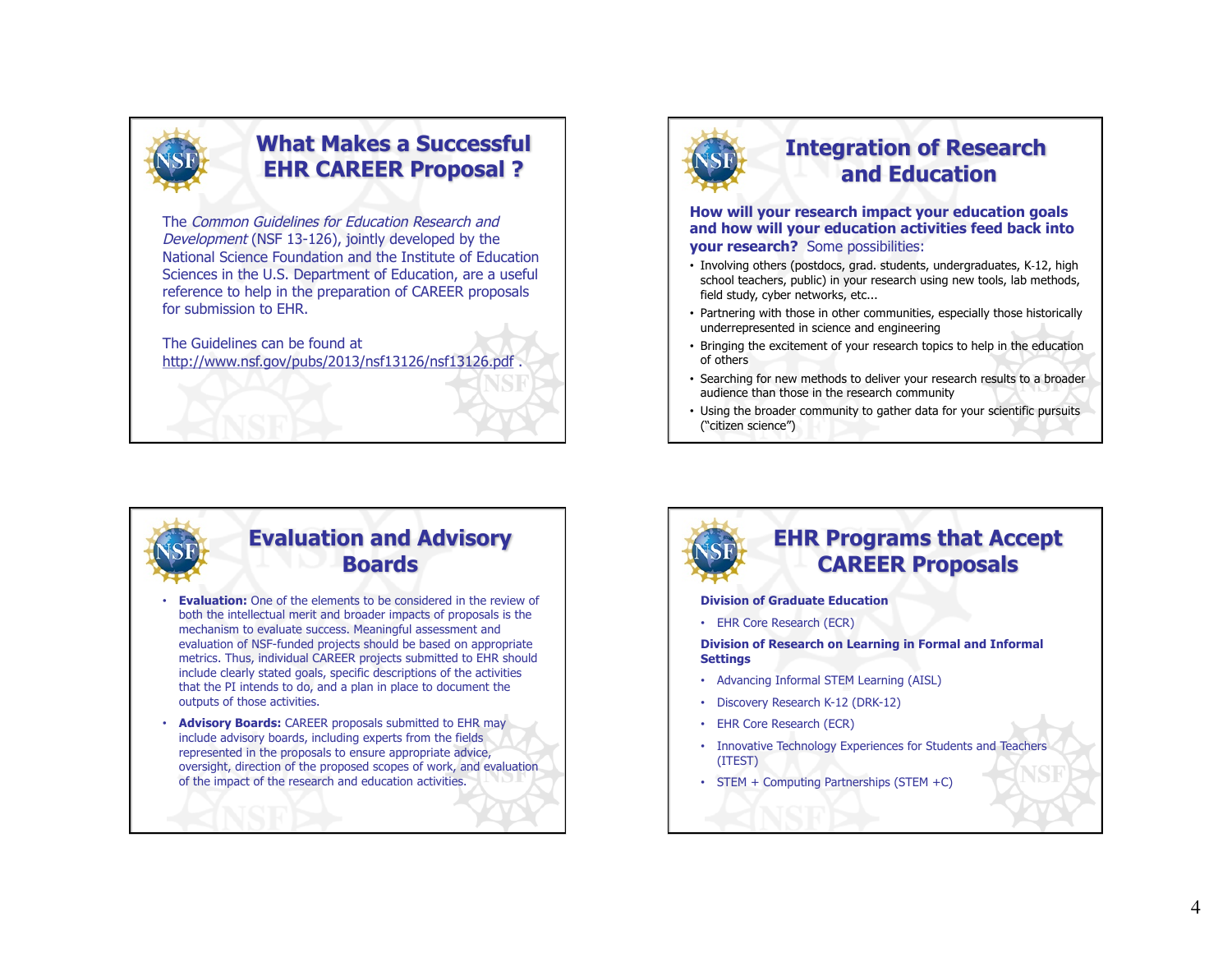

## **What Makes a Successful EHR CAREER Proposal ?**

The Common Guidelines for Education Research and Development (NSF 13-126), jointly developed by the National Science Foundation and the Institute of Education Sciences in the U.S. Department of Education, are a useful reference to help in the preparation of CAREER proposals for submission to EHR.

The Guidelines can be found at http://www.nsf.gov/pubs/2013/nsf13126/nsf13126.pdf .



## **Integration of Research and Education**

**How will your research impact your education goals and how will your education activities feed back into your research?** Some possibilities:

- Involving others (postdocs, grad. students, undergraduates, K-12, high school teachers, public) in your research using new tools, lab methods, field study, cyber networks, etc...
- Partnering with those in other communities, especially those historically underrepresented in science and engineering
- Bringing the excitement of your research topics to help in the education of others
- Searching for new methods to deliver your research results to a broader audience than those in the research community
- Using the broader community to gather data for your scientific pursuits ("citizen science")



#### **Evaluation and Advisory Boards**

- **Evaluation:** One of the elements to be considered in the review of both the intellectual merit and broader impacts of proposals is the mechanism to evaluate success. Meaningful assessment and evaluation of NSF-funded projects should be based on appropriate metrics. Thus, individual CAREER projects submitted to EHR should include clearly stated goals, specific descriptions of the activities that the PI intends to do, and a plan in place to document the outputs of those activities.
- **Advisory Boards:** CAREER proposals submitted to EHR may include advisory boards, including experts from the fields represented in the proposals to ensure appropriate advice, oversight, direction of the proposed scopes of work, and evaluation of the impact of the research and education activities.



#### **EHR Programs that Accept CAREER Proposals**

#### **Division of Graduate Education**

• EHR Core Research (ECR)

**Division of Research on Learning in Formal and Informal Settings**

- Advancing Informal STEM Learning (AISL)
- Discovery Research K-12 (DRK-12)
- EHR Core Research (ECR)
- Innovative Technology Experiences for Students and Teachers (ITEST)
- STEM + Computing Partnerships (STEM +C)